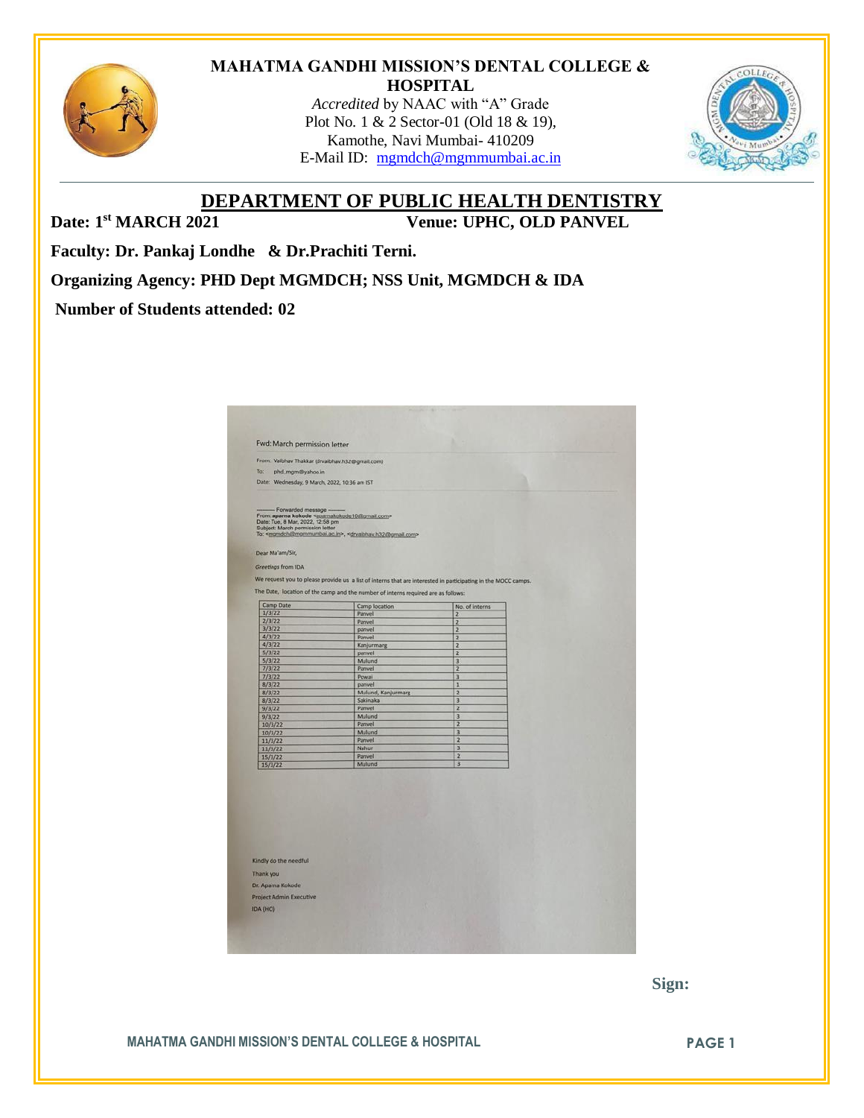

#### **MAHATMA GANDHI MISSION'S DENTAL COLLEGE & HOSPITAL**

*Accredited* by NAAC with "A" Grade Plot No. 1 & 2 Sector-01 (Old 18 & 19), Kamothe, Navi Mumbai- 410209 E-Mail ID: [mgmdch@mgmmumbai.ac.in](mailto:mgmdch@mgmmumbai.ac.in)



**DEPARTMENT OF PUBLIC HEALTH DENTISTRY**

Date: 1<sup>st</sup> MARCH 2021

**Venue: UPHC, OLD PANVEL** 

**Faculty: Dr. Pankaj Londhe & Dr.Prachiti Terni.** 

**Organizing Agency: PHD Dept MGMDCH; NSS Unit, MGMDCH & IDA**

### **Number of Students attended: 02**

| From: Vaibhav Thakkar (drvaibhav.h32@gmail.com)<br>To:<br>phd_mgm@yahoo.in<br>Date: Wednesday, 9 March, 2022, 10:36 am IST<br>Forwarded message -<br>From: aparna kokode <aparnakokode10@gmail.com><br/>Date: Tue, 8 Mar, 2022, 12:58 pm<br/>Subject: March permission letter<br/>To: <mgmdch@mgmmumbai.ac.in>, <drwaibhav.h32@gmail.com><br/>Dear Ma'am/Sir,<br/>Greetings from IDA<br/>We request you to please provide us a list of interns that are interested in participating in the MOCC camps.</drwaibhav.h32@gmail.com></mgmdch@mgmmumbai.ac.in></aparnakokode10@gmail.com> |
|--------------------------------------------------------------------------------------------------------------------------------------------------------------------------------------------------------------------------------------------------------------------------------------------------------------------------------------------------------------------------------------------------------------------------------------------------------------------------------------------------------------------------------------------------------------------------------------|
|                                                                                                                                                                                                                                                                                                                                                                                                                                                                                                                                                                                      |
|                                                                                                                                                                                                                                                                                                                                                                                                                                                                                                                                                                                      |
|                                                                                                                                                                                                                                                                                                                                                                                                                                                                                                                                                                                      |
|                                                                                                                                                                                                                                                                                                                                                                                                                                                                                                                                                                                      |
| The Date, location of the camp and the number of interns required are as follows:                                                                                                                                                                                                                                                                                                                                                                                                                                                                                                    |
| Camp Date<br>Camp location<br>No. of interns<br>1/3/22                                                                                                                                                                                                                                                                                                                                                                                                                                                                                                                               |
| Panvel<br>$\overline{2}$<br>2/3/22<br>Panvel<br>$\overline{z}$                                                                                                                                                                                                                                                                                                                                                                                                                                                                                                                       |
| 3/3/22<br>$\overline{2}$<br>panvel                                                                                                                                                                                                                                                                                                                                                                                                                                                                                                                                                   |
| 4/3/22<br>Panvel<br>2                                                                                                                                                                                                                                                                                                                                                                                                                                                                                                                                                                |
| 4/3/22<br>Kanjurmarg<br>$\overline{z}$                                                                                                                                                                                                                                                                                                                                                                                                                                                                                                                                               |
| 5/3/22<br>$\overline{2}$<br>panvel                                                                                                                                                                                                                                                                                                                                                                                                                                                                                                                                                   |
| 5/3/22<br>Mulund<br>$\overline{3}$                                                                                                                                                                                                                                                                                                                                                                                                                                                                                                                                                   |
| 7/3/22<br>$\overline{2}$<br>Panvel                                                                                                                                                                                                                                                                                                                                                                                                                                                                                                                                                   |
| 7/3/22<br>Powai<br>3                                                                                                                                                                                                                                                                                                                                                                                                                                                                                                                                                                 |
| 8/3/22<br>panvel<br>1                                                                                                                                                                                                                                                                                                                                                                                                                                                                                                                                                                |
| 8/3/22<br>Mulund, Kanjurmarg<br>$\overline{2}$                                                                                                                                                                                                                                                                                                                                                                                                                                                                                                                                       |
| Sakinaka<br>$\overline{\mathbf{3}}$<br>8/3/22<br>Panvel<br>$\overline{2}$<br>9/3/22                                                                                                                                                                                                                                                                                                                                                                                                                                                                                                  |
| Mulund<br>$\overline{3}$<br>9/3/22                                                                                                                                                                                                                                                                                                                                                                                                                                                                                                                                                   |
| Panvel<br>$\overline{2}$<br>10/3/22                                                                                                                                                                                                                                                                                                                                                                                                                                                                                                                                                  |
| 10/3/22<br>Mulund<br>3                                                                                                                                                                                                                                                                                                                                                                                                                                                                                                                                                               |
| $\overline{\mathbf{z}}$<br>Panvel<br>11/3/22                                                                                                                                                                                                                                                                                                                                                                                                                                                                                                                                         |
| $\overline{3}$<br>Nahur<br>11/3/22                                                                                                                                                                                                                                                                                                                                                                                                                                                                                                                                                   |
| $\overline{2}$<br>Panvel<br>15/3/22                                                                                                                                                                                                                                                                                                                                                                                                                                                                                                                                                  |
| 3<br>Mulund<br>15/3/22                                                                                                                                                                                                                                                                                                                                                                                                                                                                                                                                                               |

 **Sign:**

**MAHATMA GANDHI MISSION'S DENTAL COLLEGE & HOSPITAL PAGE 1**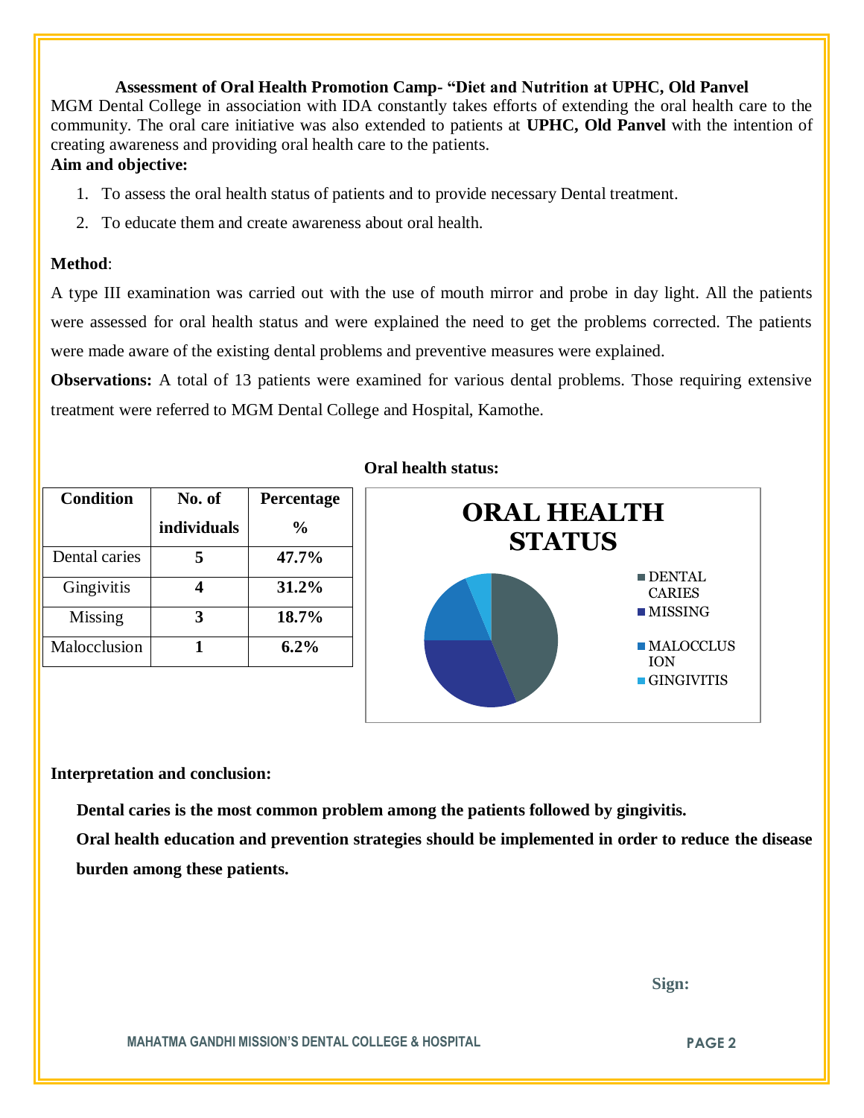#### **Assessment of Oral Health Promotion Camp- "Diet and Nutrition at UPHC, Old Panvel**

MGM Dental College in association with IDA constantly takes efforts of extending the oral health care to the community. The oral care initiative was also extended to patients at **UPHC, Old Panvel** with the intention of creating awareness and providing oral health care to the patients. **Aim and objective:** 

#### 1. To assess the oral health status of patients and to provide necessary Dental treatment.

2. To educate them and create awareness about oral health.

#### **Method**:

A type III examination was carried out with the use of mouth mirror and probe in day light. All the patients were assessed for oral health status and were explained the need to get the problems corrected. The patients were made aware of the existing dental problems and preventive measures were explained.

**Observations:** A total of 13 patients were examined for various dental problems. Those requiring extensive treatment were referred to MGM Dental College and Hospital, Kamothe.

| <b>Condition</b> | No. of      | Percentage    |
|------------------|-------------|---------------|
|                  | individuals | $\frac{0}{0}$ |
| Dental caries    |             | 47.7%         |
| Gingivitis       |             | 31.2%         |
| Missing          |             | 18.7%         |
| Malocclusion     |             | $6.2\%$       |

#### **Oral health status:**



#### **Interpretation and conclusion:**

 **Dental caries is the most common problem among the patients followed by gingivitis.**

**Oral health education and prevention strategies should be implemented in order to reduce the disease burden among these patients.**

 **Sign:**

**MAHATMA GANDHI MISSION'S DENTAL COLLEGE & HOSPITAL PAGE 2**